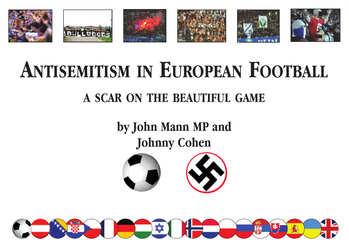

# **ANTISEMITISM IN EUROPEAN FOOTBALL**

### **A SCAR ON THE BEAUTIFUL GAME**

**by John Mann MP and Johnny Cohen**





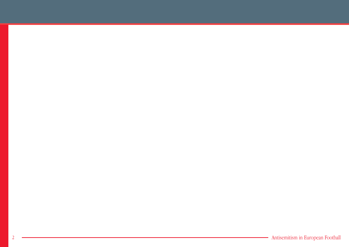### Antisemitism in European Football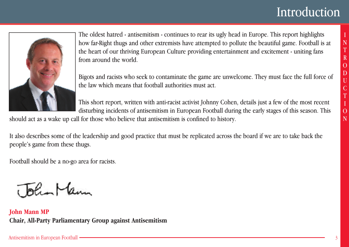### Introduction

I N T R O D U C T  $\blacklozenge$ O N



The oldest hatred - antisemitism - continues to rear its ugly head in Europe. This report highlights how far-Right thugs and other extremists have attempted to pollute the beautiful game. Football is at the heart of our thriving European Culture providing entertainment and excitement - uniting fans from around the world.

Bigots and racists who seek to contaminate the game are unwelcome. They must face the full force of the law which means that football authorities must act.

This short report, written with anti-racist activist Johnny Cohen, details just a few of the most recent disturbing incidents of antisemitism in European Football during the early stages of this season. This

should act as a wake up call for those who believe that antisemitism is confined to history.

It also describes some of the leadership and good practice that must be replicated across the board if we are to take back the people's game from these thugs.

Football should be a no-go area for racists.

John Yann

**John Mann MP Chair, All-Party Parliamentary Group against Antisemitism**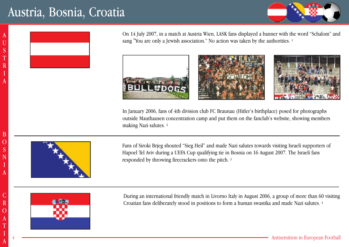### Austria, Bosnia, Croatia





B  $\Omega$ S N I A

 $\mathbf C$ R  $\Omega$ A T I A



On 14 July 2007, in a match at Austria Wien, LASK fans displayed a banner with the word "Schalom" and sang "You are only a Jewish association." No action was taken by the authorities. 1



In January 2006, fans of 4th division club FC Braunau (Hitler's birthplace) posed for photographs outside Mauthausen concentration camp and put them on the fanclub's website, showing members making Nazi salutes. 2





Fans of Siroki Brjeg shouted "Sieg Heil" and made Nazi salutes towards visiting Israeli supporters of Hapoel Tel Aviv during a UEFA Cup qualifying tie in Bosnia on 16 August 2007. The Israeli fans responded by throwing firecrackers onto the pitch. 3



During an international friendly match in Livorno Italy in August 2006, a group of more than 60 visiting Croatian fans deliberately stood in positions to form a human swastika and made Nazi salutes. 4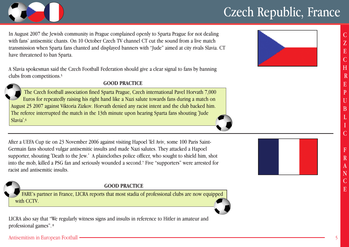

### Czech Republic, France

In August 2007 the Jewish community in Prague complained openly to Sparta Prague for not dealing with fans' antisemitic chants. On 10 October Czech TV channel CT cut the sound from a live match transmission when Sparta fans chanted and displayed banners with "Jude" aimed at city rivals Slavia. CT have threatened to ban Sparta.

A Slavia spokesman said the Czech Football Federation should give a clear signal to fans by banning clubs from competitions.5

**GOOD PRACTICE**

The Czech football association fined Sparta Prague, Czech international Pavel Horvath 7,000 Euros for repeatedly raising his right hand like a Nazi salute towards fans during a match on August 25 2007 against Viktoria Zizkov. Horvath denied any racist intent and the club backed him. The referee interrupted the match in the 13th minute upon hearing Sparta fans shouting 'Jude Slavia'.6

After a UEFA Cup tie on 23 November 2006 against visiting Hapoel Tel Aviv, some 100 Paris Saint-Germain fans shouted vulgar antisemitic insults and made Nazi salutes. They attacked a Hapoel supporter, shouting 'Death to the Jew.' A plainclothes police officer, who sought to shield him, shot into the mob, killed a PSG fan and seriously wounded a second.7 Five "supporters" were arrested for racist and antisemitic insults.



**GOOD PRACTICE**

FARE's partner in France, LICRA reports that most stadia of professional clubs are now equipped with CCTV.

LICRA also say that "We regularly witness signs and insults in reference to Hitler in amateur and professional games". <sup>8</sup>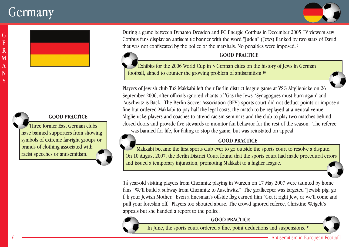### ermany



Y



#### **GOOD PRACTICE**

Three former East German clubs have banned supporters from showing symbols of extreme far-right groups or brands of clothing associated with racist speeches or antisemitism.

During a game between Dynamo Dresden and FC Energie Cottbus in December 2005 TV viewers saw Cottbus fans display an antisemitic banner with the word "Juden" (Jews) flanked by two stars of David that was not confiscated by the police or the marshals. No penalties were imposed. <sup>9</sup>

### **GOOD PRACTICE**

Exhibits for the 2006 World Cup in 3 German cities on the history of Jews in German football, aimed to counter the growing problem of antisemitism.10

Players of Jewish club TuS Makkabi left their Berlin district league game at VSG Altglienicke on 26 September 2006, after officials ignored chants of 'Gas the Jews' 'Synagogues must burn again' and 'Auschwitz is Back.' The Berlin Soccer Association (BFV) sports court did not deduct points or impose a fine but ordered Makkabi to pay half the legal costs, the match to be replayed at a neutral venue, Altglienicke players and coaches to attend racism seminars and the club to play two matches behind closed doors and provide five stewards to monitor fan behavior for the rest of the season. The referee was banned for life, for failing to stop the game, but was reinstated on appeal.

#### **GOOD PRACTICE**

Makkabi became the first sports club ever to go outside the sports court to resolve a dispute. On 10 August 2007, the Berlin District Court found that the sports court had made procedural errors and issued a temporary injunction, promoting Makkabi to a higher league.

14 year-old visiting players from Chemnitz playing in Wurzen on 17 May 2007 were taunted by home fans "We'll build a subway from Chemnitz to Auschwitz." The goalkeeper was targeted "Jewish pig, go f..k your Jewish Mother." Even a linesman's offside flag earned him "Get it right Jew, or we'll come and pull your foreskin off." Players too shouted abuse. The crowd ignored referee, Christine Weigelt's appeals but she handed a report to the police.

#### **GOOD PRACTICE**

In June, the sports court ordered a fine, point deductions and suspensions. 11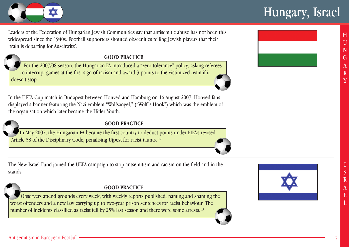

### Hungary, Israel

Leaders of the Federation of Hungarian Jewish Communities say that antisemitic abuse has not been this widespread since the 1940s. Football supporters shouted obscenities telling Jewish players that their 'train is departing for Auschwitz'.

#### For the 2007/08 season, the Hungarian FA introduced a "zero tolerance" policy, asking referees **GOOD PRACTICE**

In the UEFA Cup match in Budapest between Honved and Hamburg on 16 August 2007, Honved fans displayed a banner featuring the Nazi emblem "Wolfsangel," ("Wolf 's Hook") which was the emblem of the organisation which later became the Hitler Youth.

to interrupt games at the first sign of racism and award 3 points to the victimized team if it



doesn't stop.

#### **GOOD PRACTICE**

In May 2007, the Hungarian FA became the first country to deduct points under FIFA's revised Article 58 of the Disciplinary Code, penalising Ujpest for racist taunts. 12

The New Israel Fund joined the UEFA campaign to stop antsemitism and racism on the field and in the stands.



Observers attend grounds every week, with weekly reports published, naming and shaming the worst offenders and a new law carrying up to two-year prison sentences for racist behaviour. The number of incidents classified as racist fell by 25% last season and there were some arrests. <sup>13</sup>

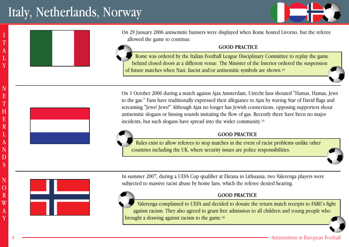### Italy, Netherlands, Norway





On 29 January 2006 antisemitic banners were displayed when Rome hosted Livorno, but the referee allowed the game to continue.

### **GOOD PRACTICE**

Rome was ordered by the Italian Football League Disciplinary Committee to replay the game behind closed doors at a different venue. The Minister of the Interior ordered the suspension of future matches when Nazi, fascist and/or antisemitic symbols are shown.14

On 1 October 2006 during a match against Ajax Amsterdam, Utrecht fans shouted "Hamas, Hamas, Jews to the gas." Fans have traditionally expressed their allegiance to Ajax by waving Star of David flags and screaming "Jews! Jews!" Although Ajax no longer has Jewish connections, opposing supporters shout antisemitic slogans or hissing sounds imitating the flow of gas. Recently there have been no major incidents, but such slogans have spread into the wider community.15

### **GOOD PRACTICE**

Rules exist to allow referees to stop matches in the event of racist problems unlike other countries including the UK, where security issues are police responsibilities.



In summer 2007, during a UEFA Cup qualifier at Ekrana in Lithuania, two Valerenga players were subjected to massive racist abuse by home fans, which the referee denied hearing.

### **GOOD PRACTICE**

Valerenga complained to UEFA and decided to donate the return match receipts to FARE's fight against racism. They also agreed to grant free admission to all children and young people who brought a drawing against racism to the game.16

I T A L Y

N E T H E R L A N D S

N  $\Omega$ R W A Y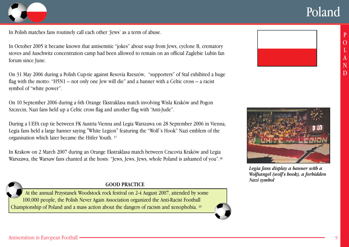### Poland

In Polish matches fans routinely call each other 'Jews' as a term of abuse.

In October 2005 it became known that antisemitic "jokes" about soap from Jews, cyclone B, crematory stoves and Auschwitz concentration camp had been allowed to remain on an official Zaglebie Lubin fan forum since June.

On 31 May 2006 during a Polish Cup-tie against Resovia Rzeszów, "supporters" of Stal exhibited a huge flag with the motto: "H5N1 – not only one Jew will die" and a banner with a Celtic cross – a racist symbol of "white power".

On 10 September 2006 during a 6th Orange Ekstraklasa match involving Wisla Kraków and Pogon Szczecin, Nazi fans held up a Celtic cross flag and another flag with "Anti-Jude".

During a UEFA cup tie between FK Austria Vienna and Legia Warszawa on 28 September 2006 in Vienna, Legia fans held a large banner saying "White Legion" featuring the "Wolf 's Hook" Nazi emblem of the organisation which later became the Hitler Youth. 17

In Krakow on 2 March 2007 during an Orange Ekstraklasa match between Cracovia Kraków and Legia Warszawa, the Warsaw fans chanted at the hosts: "Jews, Jews, Jews, whole Poland is ashamed of you".18

### **GOOD PRACTICE**

At the annual Przystanek Woodstock rock festival on 2-4 August 2007, attended by some 100,000 people, the Polish Never Again Association organized the Anti-Racist Football Championship of Poland and a mass action about the dangers of racism and xenophobia. 19







*Legia fans display a banner with a Wolfsangel (wolf's hook), a forbidden Nazi symbol*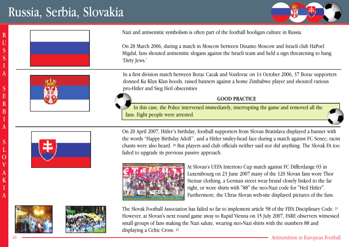### Russia, Serbia, Slovakia





R U S S I A

S E R B I A

S L O **T** A K I A

Nazi and antisemitic symbolism is often part of the football hooligan culture in Russia.

On 28 March 2006, during a match in Moscow between Dinamo Moscow and Israeli club HaPoel Migdal, fans shouted antisemitic slogans against the Israeli team and held a sign threatening to hang 'Dirty Jews.'

In a first division match between Borac Cacak and Vozdovac on 14 October 2006, 37 Borac supporters donned Ku Klux Klan hoods, raised banners against a home Zimbabwe player and shouted various pro-Hitler and Sieg Heil obscenities

#### **GOOD PRACTICE**

In this case, the Police intervened immediately, interrupting the game and removed all the fans. Eight people were arrested.



On 20 April 2007, Hitler's birthday, football supporters from Slovan Bratislava displayed a banner with the words "Happy Birthday Adolf", and a Hitler smiley-head face during a match against FC Senec; racist chants were also heard. 20 But players and club officials neither said nor did anything. The Slovak FA too failed to upgrade its previous passive approach.



At Slovan's UEFA Intertoto Cup match against FC Differdange 03 in Luxembourg on 23 June 2007 many of the 120 Slovan fans wore Thor Steinar clothing, a German street wear brand closely linked to the far right, or wore shirts with "88" the neo-Nazi code for "Heil Hitler". Furthermore, the Ultras Slovan web-site displayed pictures of the fans.

The Slovak Football Association has failed so far to implement article 58 of the FIFA Disciplinary Code. <sup>21</sup> However, at Slovan's next round game away to Rapid Vienna on 15 July 2007, FARE observers witnessed small groups of fans making the Nazi salute, wearing neo-Nazi shirts with the numbers 88 and displaying a Celtic Cross. 22



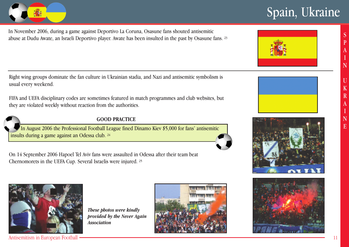

#### In November 2006, during a game against Deportivo La Coruna, Osasune fans shouted antisemitic abuse at Dudu Awate, an Israeli Deportivo player. Awate has been insulted in the past by Osasune fans. 23

Right wing groups dominate the fan culture in Ukrainian stadia, and Nazi and antisemitic symbolism is usual every weekend.

FIFA and UEFA disciplinary codes are sometimes featured in match programmes and club websites, but they are violated weekly without reaction from the authorities.



#### **GOOD PRACTICE**

In August 2006 the Professional Football League fined Dinamo Kiev \$5,000 for fans' antisemitic insults during a game against an Odessa club. 24

On 14 September 2006 Hapoel Tel Aviv fans were assaulted in Odessa after their team beat Chernomorets in the UEFA Cup. Several Israelis were injured. 25



*These photos were kindly provided by the Never Again Association*



### Spain, Ukraine









S P A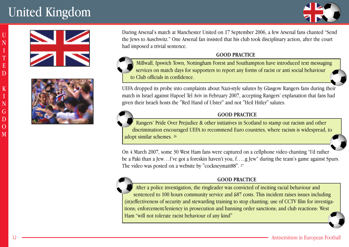### United Kingdom







During Arsenal's match at Manchester United on 17 September 2006, a few Arsenal fans chanted "Send the Jews to Auschwitz." One Arsenal fan insisted that his club took disciplinary action, after the court had imposed a trivial sentence.

### **GOOD PRACTICE**

Millwall, Ipswich Town, Nottingham Forest and Southampton have introduced text messaging services on match days for supporters to report any forms of racist or anti social behaviour to Club officials in confidence.

UEFA dropped its probe into complaints about Nazi-style salutes by Glasgow Rangers fans during their match in Israel against Hapoel Tel Aviv in February 2007, accepting Rangers' explanation that fans had given their Israeli hosts the "Red Hand of Ulster" and not "Heil Hitler" salutes.



### **GOOD PRACTICE**

Rangers' Pride Over Prejudice & other initiatives in Scotland to stamp out racism and other discrimination encouraged UEFA to recommend Euro countries, where racism is widespread, to adopt similar schemes. 26

On 4 March 2007, some 30 West Ham fans were captured on a cellphone video chanting "I'd rather be a Paki than a Jew…I've got a foreskin haven't you, f…..g Jew" during the team's game against Spurs. The video was posted on a website by "cockneymatt88". 27

### **GOOD PRACTICE**

After a police investigation, the ringleader was convicted of inciting racial behaviour and sentenced to 100 hours community service and £87 costs. This incident raises issues including (in)effectiveness of security and stewarding training to stop chanting; use of CCTV film for investigations; enforcement/leniency in prosecution and banning order sanctions; and club reactions: West Ham "will not tolerate racist behaviour of any kind"

 $\mathbf{I}$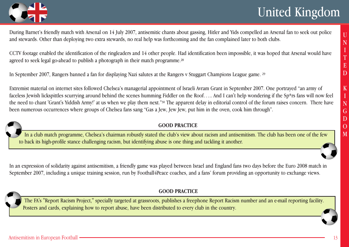

During Barnet's friendly match with Arsenal on 14 July 2007, antisemitic chants about gassing, Hitler and Yids compelled an Arsenal fan to seek out police and stewards. Other than deploying two extra stewards, no real help was forthcoming and the fan complained later to both clubs.

CCTV footage enabled the identification of the ringleaders and 14 other people. Had identification been impossible, it was hoped that Arsenal would have agreed to seek legal go-ahead to publish a photograph in their match programme.<sup>28</sup>

In September 2007, Rangers banned a fan for displaying Nazi salutes at the Rangers v Stuggart Champions League game. 29

Extremist material on internet sites followed Chelsea's managerial appointment of Israeli Avram Grant in September 2007. One portrayed "an army of faceless Jewish lickspittles scurrying around behind the scenes humming Fiddler on the Roof….. And I can't help wondering if the Sp\*rs fans will now feel the need to chant 'Grant's Yiddish Army!' at us when we play them next."30 The apparent delay in editorial control of the forum raises concern. There have been numerous occurrences where groups of Chelsea fans sang "Gas a Jew, Jew Jew, put him in the oven, cook him through".

#### **GOOD PRACTICE**

In a club match programme, Chelsea's chairman robustly stated the club's view about racism and antisemitism. The club has been one of the few to back its high-profile stance challenging racism, but identifying abuse is one thing and tackling it another.

In an expression of solidarity against antisemitism, a friendly game was played between Israel and England fans two days before the Euro 2008 match in September 2007, including a unique training session, run by Football *i*Peace coaches, and a fans' forum providing an opportunity to exchange views.



#### **GOOD PRACTICE**

The FA's "Report Racism Project," specially targeted at grassroots, publishes a freephone Report Racism number and an e-mail reporting facility. Posters and cards, explaining how to report abuse, have been distributed to every club in the country.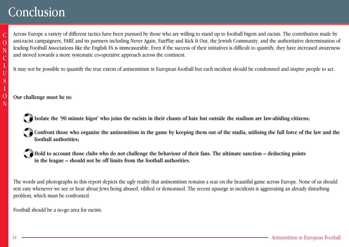### Conclusion

Across Europe a variety of different tactics have been pursued by those who are willing to stand up to football bigots and racists. The contribution made by anti-racist campaigners, FARE and its partners including Never Again, FairPlay and Kick It Out, the Jewish Community, and the authoritative determination of leading Football Associations like the English FA is immeasurable. Even if the success of their initiatives is difficult to quantify, they have increased awareness and moved towards a more systematic co-operative approach across the continent.

It may not be possible to quantify the true extent of antisemitism in European football but each incident should be condemned and inspire people to act.

**Our challenge must be to:**



**Isolate the '90 minute bigot' who joins the racists in their chants of hate but outside the stadium are law-abiding citizens;**

**Confront those who organise the antisemitism in the game by keeping them out of the stadia, utilising the full force of the law and the football authorities;**



**Hold to account those clubs who do not challenge the behaviour of their fans. The ultimate sanction – deducting points in the league – should not be off limits from the football authorities.**

The words and photographs in this report depicts the ugly reality that antisemitism remains a scar on the beautiful game across Europe. None of us should rest easy whenever we see or hear about Jews being abused, vilified or demonised. The recent upsurge in incidents is aggravating an already disturbing problem, which must be confronted.

Football should be a no-go area for racists.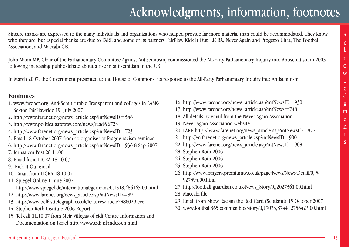## Acknowledgments, information, footnotes

Sincere thanks are expressed to the many individuals and organizations who helped provide far more material than could be accommodated. They know who they are, but especial thanks are due to FARE and some of its partners FairPlay, Kick It Out, LICRA, Never Again and Progetto Ultra; The Football Association, and Maccabi GB.

John Mann MP, Chair of the Parliamentary Committee Against Antisemitism, commissioned the All-Party Parliamentary Inquiry into Antisemitism in 2005 following increasing public debate about a rise in antisemitism in the UK

In March 2007, the Government presented to the House of Commons, its response to the All-Party Parliamentary Inquiry into Antisemitism.

#### **Footnotes**

| 1. www.farenet.org Anti-Semitic table Transparent and collages in LASK- | 16. http://www.farenet.org/news article.asp?intNewsID=930          |
|-------------------------------------------------------------------------|--------------------------------------------------------------------|
| Sektor FairPlay-vidc 19 July 2007                                       | 17. http://www.farenet.org/news article.asp?intNews=748            |
| 2. http://www.farenet.org/news_article.asp?intNewsID=546                | 18. All details by email from the Never Again Association          |
| 3. http://www.politicalgateway.com/news/read/96723                      | 19. Never Again Association website                                |
| 4. http://www.farenet.org/news article.asp?intNewsID=723                | 20. FARE http://www.farenet.org/news article.asp?intNewsID=877     |
| 5. Email 18 October 2007 from co-organiser of Prague racism seminar     | 21. http://en.farenet.org/news article.asp?intNewsID=900           |
| 6. http://www.farenet.org/news_article.asp?intNewsID=936 8 Sep 2007     | 22. http://www.farenet.org/news article.asp?intNewsID=903          |
| 7. Jerusalem Post 26.11.06                                              | 23. Stephen Roth 2006                                              |
| 8. Email from LICRA 18.10.07                                            | 24. Stephen Roth 2006                                              |
| 9. Kick It Out email                                                    | 25. Stephen Roth 2006                                              |
| 10. Email from LICRA 18.10.07                                           | 26. http://www.rangers.premiumtv.co.uk/page/News/News/Detail/0,,5- |
| 11. Spiegel Online 1 June 2007                                          | 927394,00.html                                                     |
| http://www.spiegel.de/international/germany/0,1518,486165.00.html       | 27. http://football.guardian.co.uk/News Story/0,,2027361,00.html   |
| 12. http://www.farenet.org/news article.asp?intNewsID=891               | 28. Maccabi file                                                   |
| 13. http://www.belfasttelegraph.co.uk/features/article2386029.ece       | 29. Email from Show Racism the Red Card (Scotland) 15 October 2007 |
| 14. Stephen Roth Institute 2006 Report                                  | 30. www.football365.com/mailbox/story/0,17033,8744 2756423,00.html |
| 15. Tel call 11.10.07 from Meir Villegas of cidi Centre Information and |                                                                    |

Documentation on Israel http://www.cidi.nl/index-en.html

A c k n o w l e d g m e n t s